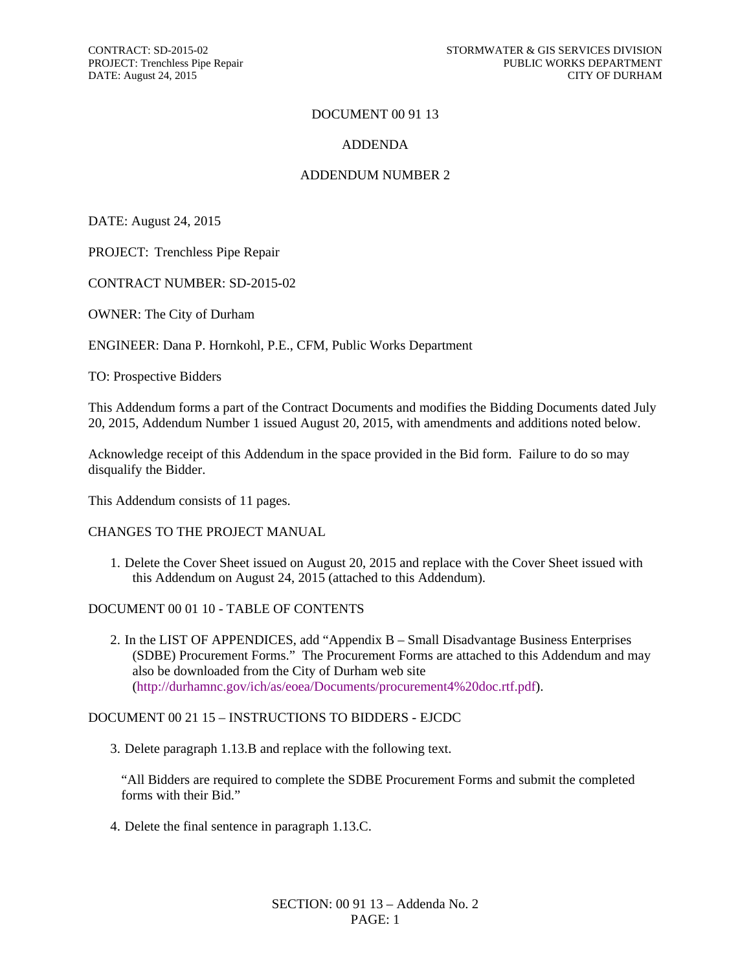### DOCUMENT 00 91 13

### ADDENDA

### ADDENDUM NUMBER 2

DATE: August 24, 2015

PROJECT: Trenchless Pipe Repair

CONTRACT NUMBER: SD-2015-02

OWNER: The City of Durham

ENGINEER: Dana P. Hornkohl, P.E., CFM, Public Works Department

TO: Prospective Bidders

This Addendum forms a part of the Contract Documents and modifies the Bidding Documents dated July 20, 2015, Addendum Number 1 issued August 20, 2015, with amendments and additions noted below.

Acknowledge receipt of this Addendum in the space provided in the Bid form. Failure to do so may disqualify the Bidder.

This Addendum consists of 11 pages.

#### CHANGES TO THE PROJECT MANUAL

1. Delete the Cover Sheet issued on August 20, 2015 and replace with the Cover Sheet issued with this Addendum on August 24, 2015 (attached to this Addendum).

#### DOCUMENT 00 01 10 - TABLE OF CONTENTS

2. In the LIST OF APPENDICES, add "Appendix B – Small Disadvantage Business Enterprises (SDBE) Procurement Forms." The Procurement Forms are attached to this Addendum and may also be downloaded from the City of Durham web site (http://durhamnc.gov/ich/as/eoea/Documents/procurement4%20doc.rtf.pdf).

### DOCUMENT 00 21 15 – INSTRUCTIONS TO BIDDERS - EJCDC

3. Delete paragraph 1.13.B and replace with the following text.

"All Bidders are required to complete the SDBE Procurement Forms and submit the completed forms with their Bid."

4. Delete the final sentence in paragraph 1.13.C.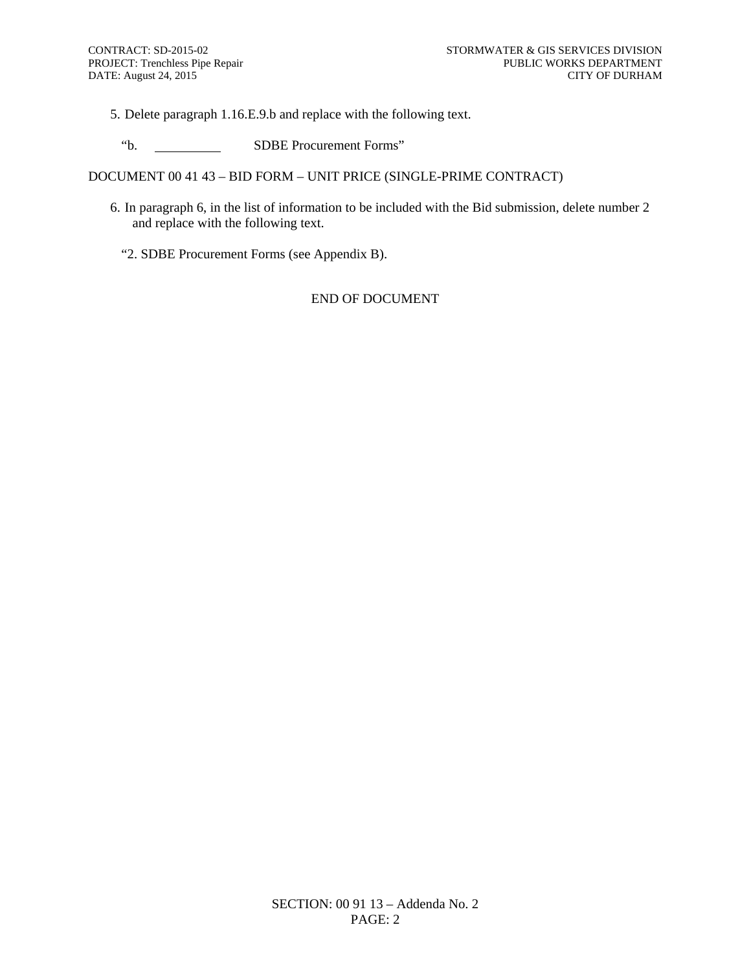5. Delete paragraph 1.16.E.9.b and replace with the following text.

"b. SDBE Procurement Forms"

DOCUMENT 00 41 43 – BID FORM – UNIT PRICE (SINGLE-PRIME CONTRACT)

- 6. In paragraph 6, in the list of information to be included with the Bid submission, delete number 2 and replace with the following text.
	- "2. SDBE Procurement Forms (see Appendix B).

### END OF DOCUMENT